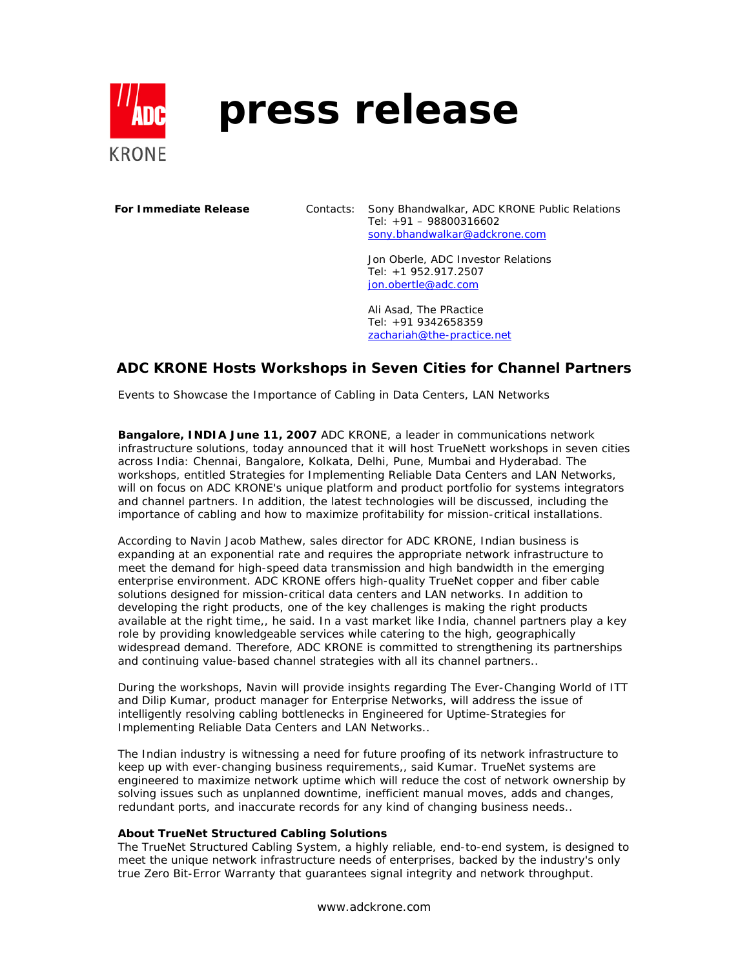

# **press release**

**For Immediate Release** Contacts: Sony Bhandwalkar, ADC KRONE Public Relations Tel: +91 – 98800316602 sony.bhandwalkar@adckrone.com

> Jon Oberle, ADC Investor Relations Tel: +1 952.917.2507 jon.obertle@adc.com

Ali Asad, The PRactice Tel: +91 9342658359 zachariah@the-practice.net

## **ADC KRONE Hosts Workshops in Seven Cities for Channel Partners**

*Events to Showcase the Importance of Cabling in Data Centers, LAN Networks*

**Bangalore, INDIA June 11, 2007** ADC KRONE, a leader in communications network infrastructure solutions, today announced that it will host TrueNett workshops in seven cities across India: Chennai, Bangalore, Kolkata, Delhi, Pune, Mumbai and Hyderabad. The workshops, entitled Strategies for Implementing Reliable Data Centers and LAN Networks, will on focus on ADC KRONE's unique platform and product portfolio for systems integrators and channel partners. In addition, the latest technologies will be discussed, including the importance of cabling and how to maximize profitability for mission-critical installations.

According to Navin Jacob Mathew, sales director for ADC KRONE, Indian business is expanding at an exponential rate and requires the appropriate network infrastructure to meet the demand for high-speed data transmission and high bandwidth in the emerging enterprise environment. ADC KRONE offers high-quality TrueNet copper and fiber cable solutions designed for mission-critical data centers and LAN networks. In addition to developing the right products, one of the key challenges is making the right products available at the right time,, he said. In a vast market like India, channel partners play a key role by providing knowledgeable services while catering to the high, geographically widespread demand. Therefore, ADC KRONE is committed to strengthening its partnerships and continuing value-based channel strategies with all its channel partners..

During the workshops, Navin will provide insights regarding The Ever-Changing World of ITT and Dilip Kumar, product manager for Enterprise Networks, will address the issue of intelligently resolving cabling bottlenecks in Engineered for Uptime-Strategies for Implementing Reliable Data Centers and LAN Networks..

The Indian industry is witnessing a need for future proofing of its network infrastructure to keep up with ever-changing business requirements,, said Kumar. TrueNet systems are engineered to maximize network uptime which will reduce the cost of network ownership by solving issues such as unplanned downtime, inefficient manual moves, adds and changes, redundant ports, and inaccurate records for any kind of changing business needs..

#### **About TrueNet Structured Cabling Solutions**

The TrueNet Structured Cabling System, a highly reliable, end-to-end system, is designed to meet the unique network infrastructure needs of enterprises, backed by the industry's only true Zero Bit-Error Warranty that guarantees signal integrity and network throughput.